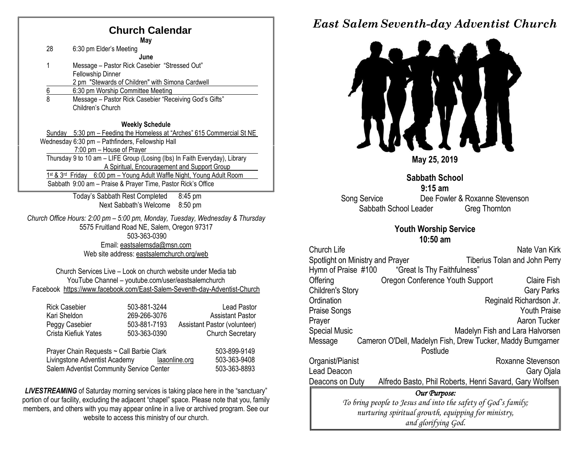## **Church Calendar**

|                  | May                                                                        |
|------------------|----------------------------------------------------------------------------|
| 28               | 6:30 pm Elder's Meeting                                                    |
|                  | June                                                                       |
| 1                | Message - Pastor Rick Casebier "Stressed Out"                              |
|                  | Fellowship Dinner                                                          |
|                  | 2 pm "Stewards of Children" with Simona Cardwell                           |
| $\frac{6}{8}$    | 6:30 pm Worship Committee Meeting                                          |
|                  | Message - Pastor Rick Casebier "Receiving God's Gifts"                     |
|                  | Children's Church                                                          |
|                  |                                                                            |
|                  | <b>Weekly Schedule</b>                                                     |
| Sundav           | 5:30 pm - Feeding the Homeless at "Arches" 615 Commercial St NE            |
|                  | Wednesday 6:30 pm - Pathfinders, Fellowship Hall                           |
|                  | 7:00 pm - House of Prayer                                                  |
|                  | Thursday 9 to 10 am - LIFE Group (Losing (lbs) In Faith Everyday), Library |
|                  | A Spiritual, Encouragement and Support Group                               |
| 1st & 3rd Friday | 6:00 pm - Young Adult Waffle Night, Young Adult Room                       |
|                  | Sabbath 9:00 am - Praise & Prayer Time, Pastor Rick's Office               |
|                  | Today's Sabbath Rest Completed<br>8:45 pm                                  |

Next Sabbath's Welcome 8:50 pm

*Church Office Hours: 2:00 pm – 5:00 pm, Monday, Tuesday, Wednesday & Thursday* 5575 Fruitland Road NE, Salem, Oregon 97317 503-363-0390 Email: [eastsalemsda@msn.com](mailto:eastsalemsda@msn.com) Web site address[: eastsalemchurch.org/w](http://eastsalem.adventists.info/)eb

Church Services Live – Look on church website under Media tab YouTube Channel – youtube.com/user/eastsalemchurch Facebook [https://www.facebook.com/East-Salem-Seventh-day-Adventist-Church](https://www.facebook.com/East-Salem-Seventh-day-Adventist-Church-111402832212994/?fref=ts)

| <b>Rick Casebier</b>                      | 503-881-3244                  | <b>Lead Pastor</b>           |
|-------------------------------------------|-------------------------------|------------------------------|
| Kari Sheldon                              | 269-266-3076                  | <b>Assistant Pastor</b>      |
| Peggy Casebier                            | 503-881-7193                  | Assistant Pastor (volunteer) |
| Crista Kiefiuk Yates                      | 503-363-0390                  | <b>Church Secretary</b>      |
|                                           |                               |                              |
| Prayer Chain Requests ~ Call Barbie Clark | 503-899-9149                  |                              |
| Livingstone Adventist Academy             | 503-363-9408<br>laaonline.org |                              |

Salem Adventist Community Service Center 503-363-8893

**LIVESTREAMING** of Saturday morning services is taking place here in the "sanctuary" portion of our facility, excluding the adjacent "chapel" space. Please note that you, family members, and others with you may appear online in a live or archived program. See our website to access this ministry of our church.

## *East Salem Seventh-day Adventist Church*



**Sabbath School 9:15 am** Song Service Dee Fowler & Roxanne Stevenson Sabbath School Leader Greg Thornton

#### **Youth Worship Service 10:50 am**

| <b>Church Life</b>                                                    |                                                         | Nate Van Kirk                        |  |  |  |  |
|-----------------------------------------------------------------------|---------------------------------------------------------|--------------------------------------|--|--|--|--|
|                                                                       | Spotlight on Ministry and Prayer                        | <b>Tiberius Tolan and John Perry</b> |  |  |  |  |
| Hymn of Praise #100                                                   | "Great Is Thy Faithfulness"                             |                                      |  |  |  |  |
| Offering                                                              | Oregon Conference Youth Support                         | <b>Claire Fish</b>                   |  |  |  |  |
| <b>Children's Story</b>                                               |                                                         | <b>Gary Parks</b>                    |  |  |  |  |
| Ordination                                                            |                                                         | Reginald Richardson Jr.              |  |  |  |  |
| <b>Praise Songs</b>                                                   |                                                         | <b>Youth Praise</b>                  |  |  |  |  |
| Prayer                                                                |                                                         | Aaron Tucker                         |  |  |  |  |
| <b>Special Music</b><br>Madelyn Fish and Lara Halvorsen               |                                                         |                                      |  |  |  |  |
| Cameron O'Dell, Madelyn Fish, Drew Tucker, Maddy Bumgarner<br>Message |                                                         |                                      |  |  |  |  |
|                                                                       | Postlude                                                |                                      |  |  |  |  |
| Organist/Pianist                                                      |                                                         | Roxanne Stevenson                    |  |  |  |  |
| Lead Deacon                                                           |                                                         | Gary Ojala                           |  |  |  |  |
| Deacons on Duty                                                       | Alfredo Basto, Phil Roberts, Henri Savard, Gary Wolfsen |                                      |  |  |  |  |
| Our Purpose:                                                          |                                                         |                                      |  |  |  |  |
| To bring people to Jesus and into the safety of God's family;         |                                                         |                                      |  |  |  |  |
| nurturing spiritual growth, equipping for ministry,                   |                                                         |                                      |  |  |  |  |
| and glorifying God.                                                   |                                                         |                                      |  |  |  |  |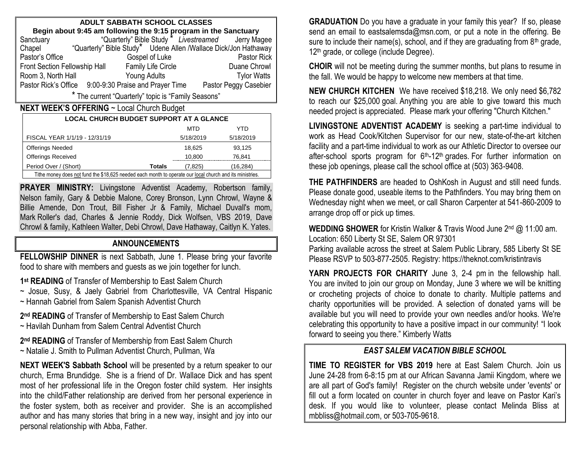| ADULT SABBATH SCHOOL CLASSES                                    |                                                                 |                                                    |  |  |  |  |  |
|-----------------------------------------------------------------|-----------------------------------------------------------------|----------------------------------------------------|--|--|--|--|--|
| Begin about 9:45 am following the 9:15 program in the Sanctuary |                                                                 |                                                    |  |  |  |  |  |
| Sanctuary                                                       |                                                                 | "Quarterly" Bible Study * Livestreamed Jerry Magee |  |  |  |  |  |
| Chapel                                                          | "Quarterly" Bible Study" Udene Allen /Wallace Dick/Jon Hathaway |                                                    |  |  |  |  |  |
| Pastor's Office                                                 | Gospel of Luke                                                  | Pastor Rick                                        |  |  |  |  |  |
| Front Section Fellowship Hall                                   | Duane Chrowl                                                    |                                                    |  |  |  |  |  |
| Room 3, North Hall                                              | <b>Young Adults</b>                                             | <b>Tylor Watts</b>                                 |  |  |  |  |  |
|                                                                 | Pastor Rick's Office 9:00-9:30 Praise and Prayer Time           | Pastor Peggy Casebier                              |  |  |  |  |  |
| * The current "Quarterly" topic is "Family Seasons"             |                                                                 |                                                    |  |  |  |  |  |

#### **NEXT WEEK'S OFFERING** ~ Local Church Budget

| <b>LOCAL CHURCH BUDGET SUPPORT AT A GLANCE</b>                                                           |               |           |           |  |  |  |  |
|----------------------------------------------------------------------------------------------------------|---------------|-----------|-----------|--|--|--|--|
|                                                                                                          |               | MTD       | YTD       |  |  |  |  |
| FISCAL YEAR 1/1/19 - 12/31/19                                                                            |               | 5/18/2019 | 5/18/2019 |  |  |  |  |
| <b>Offerings Needed</b>                                                                                  |               | 18,625    | 93.125    |  |  |  |  |
| <b>Offerings Received</b>                                                                                |               | 10,800    | 76.841    |  |  |  |  |
| Period Over / (Short)                                                                                    | <b>Totals</b> | (7.825)   | (16.284)  |  |  |  |  |
| Tithe money does not fund the \$18,625 needed each month to operate our local church and its ministries. |               |           |           |  |  |  |  |

**PRAYER MINISTRY:** Livingstone Adventist Academy, Robertson family, Nelson family, Gary & Debbie Malone, Corey Bronson, Lynn Chrowl, Wayne & Billie Amende, Don Trout, Bill Fisher Jr & Family, Michael Duvall's mom, Mark Roller's dad, Charles & Jennie Roddy, Dick Wolfsen, VBS 2019, Dave Chrowl & family, Kathleen Walter, Debi Chrowl, Dave Hathaway, Caitlyn K. Yates.

#### **ANNOUNCEMENTS**

**FELLOWSHIP DINNER** is next Sabbath, June 1. Please bring your favorite food to share with members and guests as we join together for lunch.

**1 st READING** of Transfer of Membership to East Salem Church

~ Josue, Susy, & Jaely Gabriel from Charlottesville, VA Central Hispanic ~ Hannah Gabriel from Salem Spanish Adventist Church

**2 nd READING** of Transfer of Membership to East Salem Church ~ Havilah Dunham from Salem Central Adventist Church

**2 nd READING** of Transfer of Membership from East Salem Church ~ Natalie J. Smith to Pullman Adventist Church, Pullman, Wa

**NEXT WEEK'S Sabbath School** will be presented by a return speaker to our church, Erma Brundidge. She is a friend of Dr. Wallace Dick and has spent most of her professional life in the Oregon foster child system. Her insights into the child/Father relationship are derived from her personal experience in the foster system, both as receiver and provider. She is an accomplished author and has many stories that bring in a new way, insight and joy into our personal relationship with Abba, Father.

**GRADUATION** Do you have a graduate in your family this year? If so, please send an email to eastsalemsda@msn.com, or put a note in the offering. Be sure to include their name(s), school, and if they are graduating from  $8<sup>th</sup>$  grade, 12<sup>th</sup> grade, or college (include Degree).

**CHOIR** will not be meeting during the summer months, but plans to resume in the fall. We would be happy to welcome new members at that time.

**NEW CHURCH KITCHEN** We have received \$18,218. We only need \$6,782 to reach our \$25,000 goal. Anything you are able to give toward this much needed project is appreciated. Please mark your offering "Church Kitchen."

**LIVINGSTONE ADVENTIST ACADEMY** is seeking a part-time individual to work as Head Cook/Kitchen Supervisor for our new, state-of-the-art kitchen facility and a part-time individual to work as our Athletic Director to oversee our after-school sports program for  $6<sup>th</sup>$ -12<sup>th</sup> grades. For further information on these job openings, please call the school office at (503) 363-9408.

**THE PATHFINDERS** are headed to OshKosh in August and still need funds. Please donate good, useable items to the Pathfinders. You may bring them on Wednesday night when we meet, or call Sharon Carpenter at 541-860-2009 to arrange drop off or pick up times.

**WEDDING SHOWER** for Kristin Walker & Travis Wood June 2nd @ 11:00 am. Location: 650 Liberty St SE, Salem OR 97301

Parking available across the street at Salem Public Library, 585 Liberty St SE Please RSVP to 503-877-2505. Registry: https://theknot.com/kristintravis

**YARN PROJECTS FOR CHARITY** June 3, 2-4 pm in the fellowship hall. You are invited to join our group on Monday, June 3 where we will be knitting or crocheting projects of choice to donate to charity. Multiple patterns and charity opportunities will be provided. A selection of donated yarns will be available but you will need to provide your own needles and/or hooks. We're celebrating this opportunity to have a positive impact in our community! "I look forward to seeing you there." Kimberly Watts

#### *EAST SALEM VACATION BIBLE SCHOOL*

**TIME TO REGISTER for VBS 2019** here at East Salem Church. Join us June 24-28 from 6-8:15 pm at our African Savanna Jamii Kingdom, where we are all part of God's family! Register on the church website under 'events' or fill out a form located on counter in church foyer and leave on Pastor Kari's desk. If you would like to volunteer, please contact Melinda Bliss at [mbbliss@hotmail.com,](mailto:mbbliss@hotmail.com) o[r 503-705-9618.](mailto:503-705-9618)